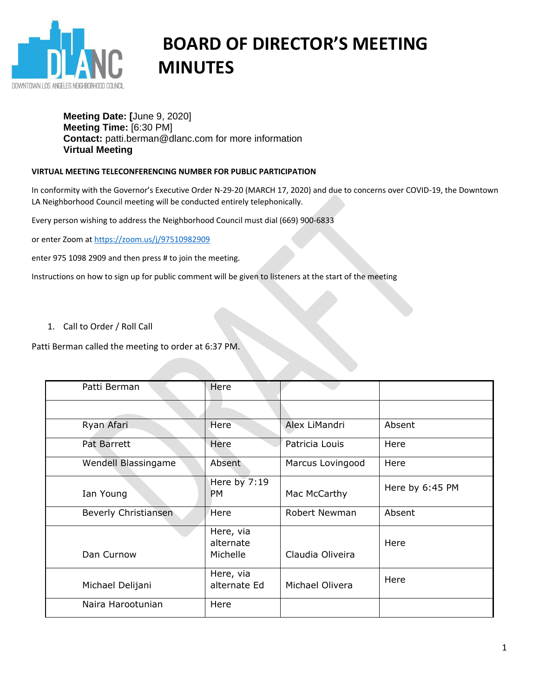

# **BOARD OF DIRECTOR'S MEETING MINUTES**

# **Meeting Date: [**June 9, 2020] **Meeting Time:** [6:30 PM] **Contact:** patti.berman@dlanc.com for more information **Virtual Meeting**

# **VIRTUAL MEETING TELECONFERENCING NUMBER FOR PUBLIC PARTICIPATION**

In conformity with the Governor's Executive Order N-29-20 (MARCH 17, 2020) and due to concerns over COVID-19, the Downtown LA Neighborhood Council meeting will be conducted entirely telephonically.

Every person wishing to address the Neighborhood Council must dial (669) 900-6833

or enter Zoom at<https://zoom.us/j/97510982909>

enter 975 1098 2909 and then press # to join the meeting.

Instructions on how to sign up for public comment will be given to listeners at the start of the meeting

1. Call to Order / Roll Call

Patti Berman called the meeting to order at 6:37 PM.

| Patti Berman                | Here                               |                      |                 |
|-----------------------------|------------------------------------|----------------------|-----------------|
|                             |                                    |                      |                 |
| Ryan Afari                  | Here                               | Alex LiMandri        | Absent          |
| Pat Barrett                 | Here                               | Patricia Louis       | Here            |
| Wendell Blassingame         | Absent                             | Marcus Lovingood     | Here            |
| Ian Young                   | Here by 7:19<br><b>PM</b>          | Mac McCarthy         | Here by 6:45 PM |
| <b>Beverly Christiansen</b> | Here                               | <b>Robert Newman</b> | Absent          |
| Dan Curnow                  | Here, via<br>alternate<br>Michelle | Claudia Oliveira     | Here            |
| Michael Delijani            | Here, via<br>alternate Ed          | Michael Olivera      | Here            |
| Naira Harootunian           | Here                               |                      |                 |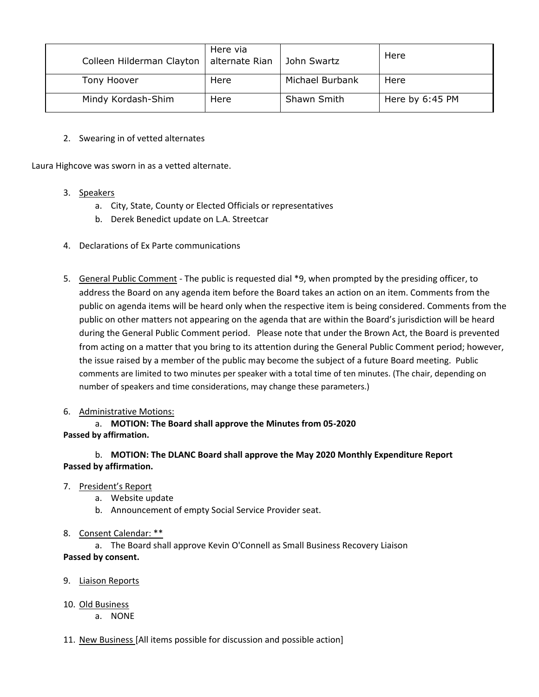| Colleen Hilderman Clayton | Here via<br>alternate Rian | John Swartz     | Here            |
|---------------------------|----------------------------|-----------------|-----------------|
| Tony Hoover               | Here                       | Michael Burbank | Here            |
| Mindy Kordash-Shim        | Here                       | Shawn Smith     | Here by 6:45 PM |

2. Swearing in of vetted alternates

Laura Highcove was sworn in as a vetted alternate.

- 3. Speakers
	- a. City, State, County or Elected Officials or representatives
	- b. Derek Benedict update on L.A. Streetcar
- 4. Declarations of Ex Parte communications
- 5. General Public Comment The public is requested dial \*9, when prompted by the presiding officer, to address the Board on any agenda item before the Board takes an action on an item. Comments from the public on agenda items will be heard only when the respective item is being considered. Comments from the public on other matters not appearing on the agenda that are within the Board's jurisdiction will be heard during the General Public Comment period. Please note that under the Brown Act, the Board is prevented from acting on a matter that you bring to its attention during the General Public Comment period; however, the issue raised by a member of the public may become the subject of a future Board meeting. Public comments are limited to two minutes per speaker with a total time of ten minutes. (The chair, depending on number of speakers and time considerations, may change these parameters.)

#### 6. Administrative Motions:

a. **MOTION: The Board shall approve the Minutes from 05-2020 Passed by affirmation.**

b. **MOTION: The DLANC Board shall approve the May 2020 Monthly Expenditure Report Passed by affirmation.**

#### 7. President's Report

- a. Website update
- b. Announcement of empty Social Service Provider seat.

#### 8. Consent Calendar: \*\*

a. The Board shall approve Kevin O'Connell as Small Business Recovery Liaison **Passed by consent.**

#### 9. Liaison Reports

- 10. Old Business
	- a. NONE
- 11. New Business [All items possible for discussion and possible action]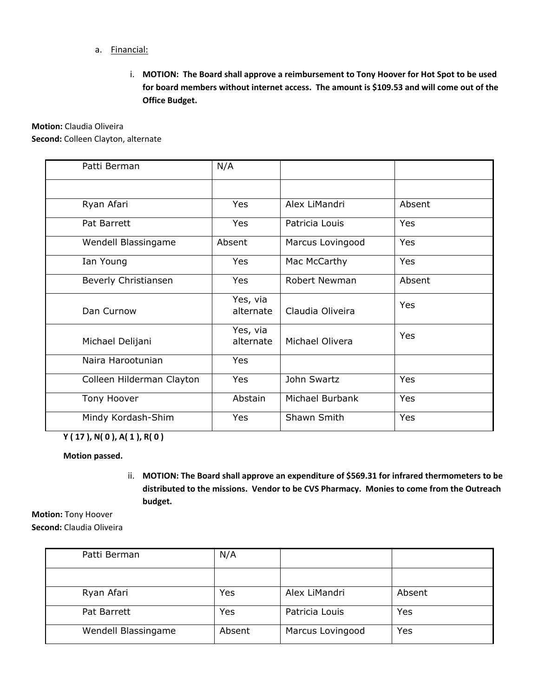- a. Financial:
	- i. **MOTION: The Board shall approve a reimbursement to Tony Hoover for Hot Spot to be used for board members without internet access. The amount is \$109.53 and will come out of the Office Budget.**

**Motion:** Claudia Oliveira **Second:** Colleen Clayton, alternate

| Patti Berman              | N/A                   |                      |        |
|---------------------------|-----------------------|----------------------|--------|
|                           |                       |                      |        |
| Ryan Afari                | Yes                   | Alex LiMandri        | Absent |
| Pat Barrett               | Yes                   | Patricia Louis       | Yes    |
| Wendell Blassingame       | Absent                | Marcus Lovingood     | Yes    |
| Ian Young                 | Yes                   | Mac McCarthy         | Yes    |
| Beverly Christiansen      | Yes                   | <b>Robert Newman</b> | Absent |
| Dan Curnow                | Yes, via<br>alternate | Claudia Oliveira     | Yes    |
| Michael Delijani          | Yes, via<br>alternate | Michael Olivera      | Yes    |
| Naira Harootunian         | Yes                   |                      |        |
| Colleen Hilderman Clayton | Yes                   | John Swartz          | Yes    |
| Tony Hoover               | Abstain               | Michael Burbank      | Yes    |
| Mindy Kordash-Shim        | Yes                   | Shawn Smith          | Yes    |

**Y ( 17 ), N( 0 ), A( 1 ), R( 0 )**

**Motion passed.**

ii. **MOTION: The Board shall approve an expenditure of \$569.31 for infrared thermometers to be distributed to the missions. Vendor to be CVS Pharmacy. Monies to come from the Outreach budget.**

**Motion:** Tony Hoover

**Second:** Claudia Oliveira

| Patti Berman        | N/A    |                  |        |
|---------------------|--------|------------------|--------|
|                     |        |                  |        |
| Ryan Afari          | Yes    | Alex LiMandri    | Absent |
| Pat Barrett         | Yes    | Patricia Louis   | Yes    |
| Wendell Blassingame | Absent | Marcus Lovingood | Yes    |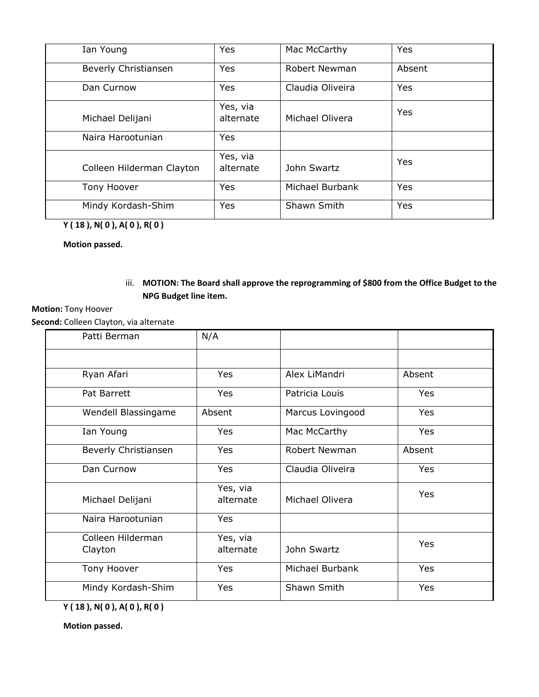| Ian Young                 | Yes                   | Mac McCarthy     | Yes        |
|---------------------------|-----------------------|------------------|------------|
| Beverly Christiansen      | <b>Yes</b>            | Robert Newman    | Absent     |
| Dan Curnow                | Yes                   | Claudia Oliveira | <b>Yes</b> |
| Michael Delijani          | Yes, via<br>alternate | Michael Olivera  | Yes        |
| Naira Harootunian         | Yes                   |                  |            |
| Colleen Hilderman Clayton | Yes, via<br>alternate | John Swartz      | Yes        |
| Tony Hoover               | Yes                   | Michael Burbank  | <b>Yes</b> |
| Mindy Kordash-Shim        | <b>Yes</b>            | Shawn Smith      | Yes        |

**Y ( 18 ), N( 0 ), A( 0 ), R( 0 )**

**Motion passed.**

iii. **MOTION: The Board shall approve the reprogramming of \$800 from the Office Budget to the NPG Budget line item.**

#### **Motion:** Tony Hoover

**Second:** Colleen Clayton, via alternate

| Patti Berman                 | N/A                   |                  |            |
|------------------------------|-----------------------|------------------|------------|
|                              |                       |                  |            |
| Ryan Afari                   | Yes                   | Alex LiMandri    | Absent     |
| Pat Barrett                  | Yes                   | Patricia Louis   | <b>Yes</b> |
| Wendell Blassingame          | Absent                | Marcus Lovingood | Yes        |
| Ian Young                    | Yes                   | Mac McCarthy     | Yes        |
| Beverly Christiansen         | Yes                   | Robert Newman    | Absent     |
| Dan Curnow                   | Yes                   | Claudia Oliveira | Yes        |
| Michael Delijani             | Yes, via<br>alternate | Michael Olivera  | Yes        |
| Naira Harootunian            | Yes                   |                  |            |
| Colleen Hilderman<br>Clayton | Yes, via<br>alternate | John Swartz      | Yes        |
| Tony Hoover                  | Yes                   | Michael Burbank  | Yes        |
| Mindy Kordash-Shim           | Yes                   | Shawn Smith      | Yes        |

**Y ( 18 ), N( 0 ), A( 0 ), R( 0 )**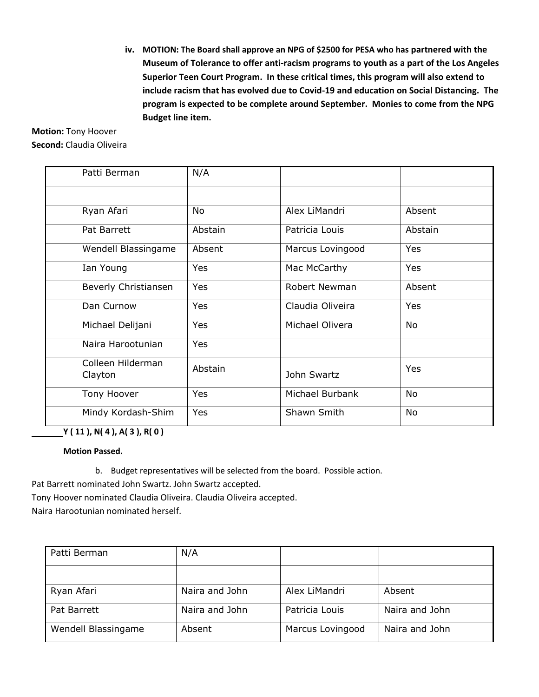**iv. MOTION: The Board shall approve an NPG of \$2500 for PESA who has partnered with the Museum of Tolerance to offer anti-racism programs to youth as a part of the Los Angeles Superior Teen Court Program. In these critical times, this program will also extend to include racism that has evolved due to Covid-19 and education on Social Distancing. The program is expected to be complete around September. Monies to come from the NPG Budget line item.**

**Motion:** Tony Hoover **Second:** Claudia Oliveira

| Patti Berman                 | N/A     |                  |            |
|------------------------------|---------|------------------|------------|
|                              |         |                  |            |
| Ryan Afari                   | No      | Alex LiMandri    | Absent     |
| Pat Barrett                  | Abstain | Patricia Louis   | Abstain    |
| Wendell Blassingame          | Absent  | Marcus Lovingood | Yes        |
| Ian Young                    | Yes     | Mac McCarthy     | <b>Yes</b> |
| Beverly Christiansen         | Yes     | Robert Newman    | Absent     |
| Dan Curnow                   | Yes     | Claudia Oliveira | Yes        |
| Michael Delijani             | Yes     | Michael Olivera  | <b>No</b>  |
| Naira Harootunian            | Yes     |                  |            |
| Colleen Hilderman<br>Clayton | Abstain | John Swartz      | Yes        |
| Tony Hoover                  | Yes     | Michael Burbank  | No         |
| Mindy Kordash-Shim           | Yes     | Shawn Smith      | <b>No</b>  |

**Y ( 11 ), N( 4 ), A( 3 ), R( 0 )**

**Motion Passed.**

b. Budget representatives will be selected from the board. Possible action.

Pat Barrett nominated John Swartz. John Swartz accepted.

Tony Hoover nominated Claudia Oliveira. Claudia Oliveira accepted.

Naira Harootunian nominated herself.

| Patti Berman        | N/A            |                  |                |
|---------------------|----------------|------------------|----------------|
|                     |                |                  |                |
| Ryan Afari          | Naira and John | Alex LiMandri    | Absent         |
| Pat Barrett         | Naira and John | Patricia Louis   | Naira and John |
| Wendell Blassingame | Absent         | Marcus Lovingood | Naira and John |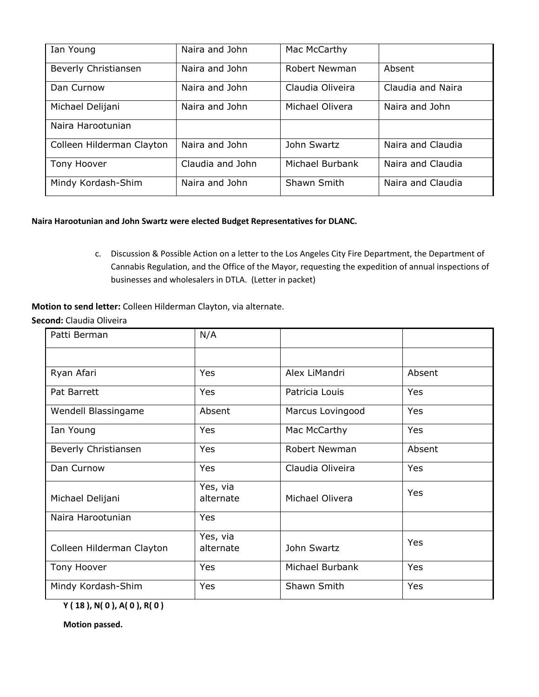| Ian Young                 | Naira and John   | Mac McCarthy     |                   |
|---------------------------|------------------|------------------|-------------------|
| Beverly Christiansen      | Naira and John   | Robert Newman    | Absent            |
| Dan Curnow                | Naira and John   | Claudia Oliveira | Claudia and Naira |
| Michael Delijani          | Naira and John   | Michael Olivera  | Naira and John    |
| Naira Harootunian         |                  |                  |                   |
| Colleen Hilderman Clayton | Naira and John   | John Swartz      | Naira and Claudia |
| Tony Hoover               | Claudia and John | Michael Burbank  | Naira and Claudia |
| Mindy Kordash-Shim        | Naira and John   | Shawn Smith      | Naira and Claudia |

#### **Naira Harootunian and John Swartz were elected Budget Representatives for DLANC.**

c. Discussion & Possible Action on a letter to the Los Angeles City Fire Department, the Department of Cannabis Regulation, and the Office of the Mayor, requesting the expedition of annual inspections of businesses and wholesalers in DTLA. (Letter in packet)

**Motion to send letter:** Colleen Hilderman Clayton, via alternate.

**Second:** Claudia Oliveira

| Patti Berman              | N/A                   |                  |        |
|---------------------------|-----------------------|------------------|--------|
|                           |                       |                  |        |
| Ryan Afari                | Yes                   | Alex LiMandri    | Absent |
| Pat Barrett               | <b>Yes</b>            | Patricia Louis   | Yes    |
| Wendell Blassingame       | Absent                | Marcus Lovingood | Yes    |
| Ian Young                 | Yes                   | Mac McCarthy     | Yes    |
| Beverly Christiansen      | Yes                   | Robert Newman    | Absent |
| Dan Curnow                | Yes                   | Claudia Oliveira | Yes    |
| Michael Delijani          | Yes, via<br>alternate | Michael Olivera  | Yes    |
| Naira Harootunian         | Yes                   |                  |        |
| Colleen Hilderman Clayton | Yes, via<br>alternate | John Swartz      | Yes    |
| Tony Hoover               | Yes                   | Michael Burbank  | Yes    |
| Mindy Kordash-Shim        | Yes                   | Shawn Smith      | Yes    |

**Y ( 18 ), N( 0 ), A( 0 ), R( 0 )**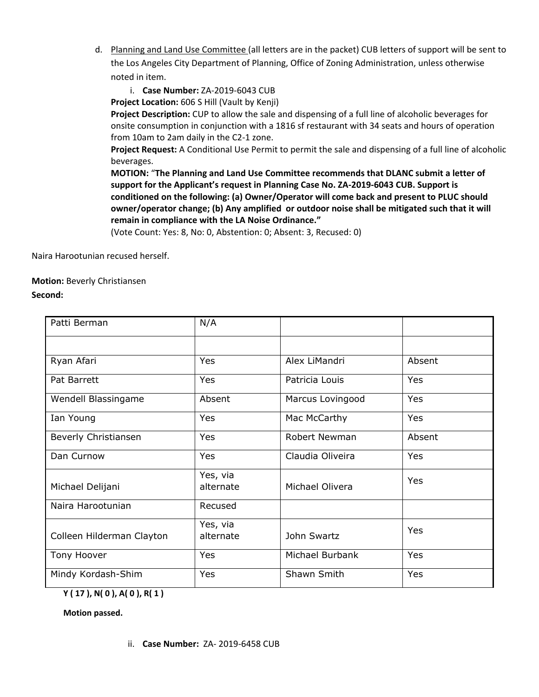- d. Planning and Land Use Committee (all letters are in the packet) CUB letters of support will be sent to the Los Angeles City Department of Planning, Office of Zoning Administration, unless otherwise noted in item.
	- i. **Case Number:** ZA-2019-6043 CUB

**Project Location:** 606 S Hill (Vault by Kenji)

**Project Description:** CUP to allow the sale and dispensing of a full line of alcoholic beverages for onsite consumption in conjunction with a 1816 sf restaurant with 34 seats and hours of operation from 10am to 2am daily in the C2-1 zone.

**Project Request:** A Conditional Use Permit to permit the sale and dispensing of a full line of alcoholic beverages.

**MOTION:** "**The Planning and Land Use Committee recommends that DLANC submit a letter of support for the Applicant's request in Planning Case No. ZA-2019-6043 CUB. Support is conditioned on the following: (a) Owner/Operator will come back and present to PLUC should owner/operator change; (b) Any amplified or outdoor noise shall be mitigated such that it will remain in compliance with the LA Noise Ordinance."**

(Vote Count: Yes: 8, No: 0, Abstention: 0; Absent: 3, Recused: 0)

Naira Harootunian recused herself.

**Motion:** Beverly Christiansen **Second:**

| Patti Berman              | N/A                   |                  |        |
|---------------------------|-----------------------|------------------|--------|
|                           |                       |                  |        |
| Ryan Afari                | Yes                   | Alex LiMandri    | Absent |
| Pat Barrett               | Yes                   | Patricia Louis   | Yes    |
| Wendell Blassingame       | Absent                | Marcus Lovingood | Yes    |
| Ian Young                 | Yes                   | Mac McCarthy     | Yes    |
| Beverly Christiansen      | Yes                   | Robert Newman    | Absent |
| Dan Curnow                | Yes                   | Claudia Oliveira | Yes    |
| Michael Delijani          | Yes, via<br>alternate | Michael Olivera  | Yes    |
| Naira Harootunian         | Recused               |                  |        |
| Colleen Hilderman Clayton | Yes, via<br>alternate | John Swartz      | Yes    |
| Tony Hoover               | Yes                   | Michael Burbank  | Yes    |
| Mindy Kordash-Shim        | Yes                   | Shawn Smith      | Yes    |

**Y ( 17 ), N( 0 ), A( 0 ), R( 1 )**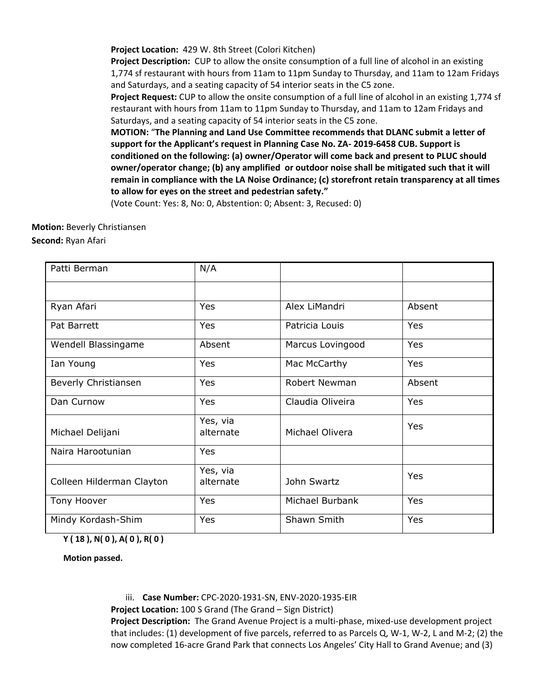**Project Location:** 429 W. 8th Street (Colori Kitchen)

**Project Description:** CUP to allow the onsite consumption of a full line of alcohol in an existing 1,774 sf restaurant with hours from 11am to 11pm Sunday to Thursday, and 11am to 12am Fridays and Saturdays, and a seating capacity of 54 interior seats in the C5 zone.

**Project Request:** CUP to allow the onsite consumption of a full line of alcohol in an existing 1,774 sf restaurant with hours from 11am to 11pm Sunday to Thursday, and 11am to 12am Fridays and Saturdays, and a seating capacity of 54 interior seats in the C5 zone.

**MOTION:** "**The Planning and Land Use Committee recommends that DLANC submit a letter of support for the Applicant's request in Planning Case No. ZA- 2019-6458 CUB. Support is conditioned on the following: (a) owner/Operator will come back and present to PLUC should owner/operator change; (b) any amplified or outdoor noise shall be mitigated such that it will remain in compliance with the LA Noise Ordinance; (c) storefront retain transparency at all times to allow for eyes on the street and pedestrian safety."**

(Vote Count: Yes: 8, No: 0, Abstention: 0; Absent: 3, Recused: 0)

# **Motion:** Beverly Christiansen

**Second:** Ryan Afari

| Patti Berman              | N/A                   |                  |            |
|---------------------------|-----------------------|------------------|------------|
|                           |                       |                  |            |
| Ryan Afari                | <b>Yes</b>            | Alex LiMandri    | Absent     |
| Pat Barrett               | Yes                   | Patricia Louis   | Yes        |
| Wendell Blassingame       | Absent                | Marcus Lovingood | <b>Yes</b> |
| Ian Young                 | Yes                   | Mac McCarthy     | Yes        |
| Beverly Christiansen      | Yes                   | Robert Newman    | Absent     |
| Dan Curnow                | Yes                   | Claudia Oliveira | Yes        |
| Michael Delijani          | Yes, via<br>alternate | Michael Olivera  | <b>Yes</b> |
| Naira Harootunian         | <b>Yes</b>            |                  |            |
| Colleen Hilderman Clayton | Yes, via<br>alternate | John Swartz      | <b>Yes</b> |
| Tony Hoover               | <b>Yes</b>            | Michael Burbank  | Yes        |
| Mindy Kordash-Shim        | Yes                   | Shawn Smith      | Yes        |

**Y ( 18 ), N( 0 ), A( 0 ), R( 0 )**

**Motion passed.**

iii. **Case Number:** CPC‐2020‐1931‐SN, ENV‐2020‐1935‐EIR

**Project Location:** 100 S Grand (The Grand – Sign District)

**Project Description:** The Grand Avenue Project is a multi-phase, mixed-use development project that includes: (1) development of five parcels, referred to as Parcels Q, W-1, W-2, L and M-2; (2) the now completed 16-acre Grand Park that connects Los Angeles' City Hall to Grand Avenue; and (3)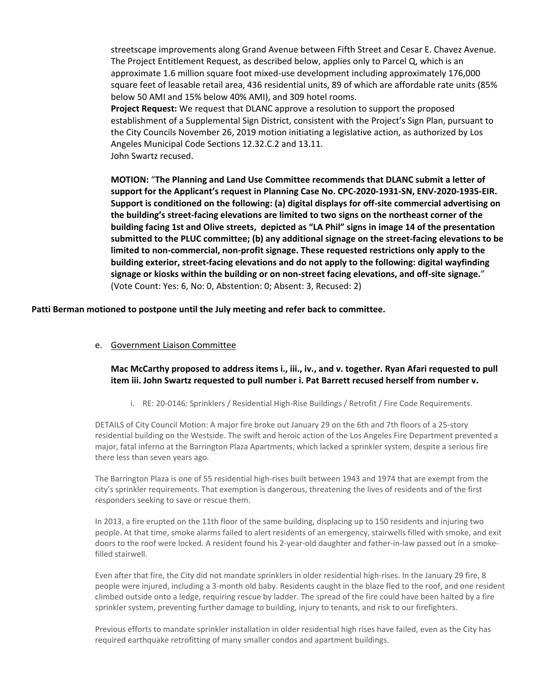streetscape improvements along Grand Avenue between Fifth Street and Cesar E. Chavez Avenue. The Project Entitlement Request, as described below, applies only to Parcel Q, which is an approximate 1.6 million square foot mixed-use development including approximately 176,000 square feet of leasable retail area, 436 residential units, 89 of which are affordable rate units (85% below 50 AMI and 15% below 40% AMI), and 309 hotel rooms.

**Project Request:** We request that DLANC approve a resolution to support the proposed establishment of a Supplemental Sign District, consistent with the Project's Sign Plan, pursuant to the City Councils November 26, 2019 motion initiating a legislative action, as authorized by Los Angeles Municipal Code Sections 12.32.C.2 and 13.11. John Swartz recused.

**MOTION:** "**The Planning and Land Use Committee recommends that DLANC submit a letter of support for the Applicant's request in Planning Case No. CPC‐2020‐1931‐SN, ENV‐2020‐1935‐EIR. Support is conditioned on the following: (a) digital displays for off-site commercial advertising on the building's street-facing elevations are limited to two signs on the northeast corner of the building facing 1st and Olive streets, depicted as "LA Phil" signs in image 14 of the presentation submitted to the PLUC committee; (b) any additional signage on the street-facing elevations to be limited to non-commercial, non-profit signage. These requested restrictions only apply to the building exterior, street-facing elevations and do not apply to the following: digital wayfinding signage or kiosks within the building or on non-street facing elevations, and off-site signage.**" (Vote Count: Yes: 6, No: 0, Abstention: 0; Absent: 3, Recused: 2)

**Patti Berman motioned to postpone until the July meeting and refer back to committee.**

e. Government Liaison Committee

### **Mac McCarthy proposed to address items i., iii., iv., and v. together. Ryan Afari requested to pull item iii. John Swartz requested to pull number i. Pat Barrett recused herself from number v.**

i. RE: 20-0146: Sprinklers / Residential High-Rise Buildings / Retrofit / Fire Code Requirements.

DETAILS of City Council Motion: A major fire broke out January 29 on the 6th and 7th floors of a 25-story residential building on the Westside. The swift and heroic action of the Los Angeles Fire Department prevented a major, fatal inferno at the Barrington Plaza Apartments, which lacked a sprinkler system, despite a serious fire there less than seven years ago.

The Barrington Plaza is one of 55 residential high-rises built between 1943 and 1974 that are exempt from the city's sprinkler requirements. That exemption is dangerous, threatening the lives of residents and of the first responders seeking to save or rescue them.

In 2013, a fire erupted on the 11th floor of the same building, displacing up to 150 residents and injuring two people. At that time, smoke alarms failed to alert residents of an emergency, stairwells filled with smoke, and exit doors to the roof were locked. A resident found his 2-year-old daughter and father-in-law passed out in a smokefilled stairwell.

Even after that fire, the City did not mandate sprinklers in older residential high-rises. In the January 29 fire, 8 people were injured, including a 3-month old baby. Residents caught in the blaze fled to the roof, and one resident climbed outside onto a ledge, requiring rescue by ladder. The spread of the fire could have been halted by a fire sprinkler system, preventing further damage to building, injury to tenants, and risk to our firefighters.

Previous efforts to mandate sprinkler installation in older residential high rises have failed, even as the City has required earthquake retrofitting of many smaller condos and apartment buildings.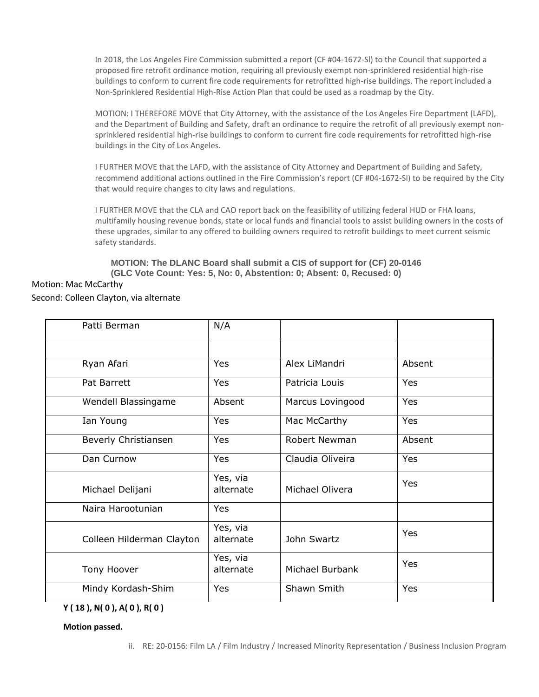In 2018, the Los Angeles Fire Commission submitted a report (CF #04-1672-Sl) to the Council that supported a proposed fire retrofit ordinance motion, requiring all previously exempt non-sprinklered residential high-rise buildings to conform to current fire code requirements for retrofitted high-rise buildings. The report included a Non-Sprinklered Residential High-Rise Action Plan that could be used as a roadmap by the City.

MOTION: I THEREFORE MOVE that City Attorney, with the assistance of the Los Angeles Fire Department (LAFD), and the Department of Building and Safety, draft an ordinance to require the retrofit of all previously exempt nonsprinklered residential high-rise buildings to conform to current fire code requirements for retrofitted high-rise buildings in the City of Los Angeles.

I FURTHER MOVE that the LAFD, with the assistance of City Attorney and Department of Building and Safety, recommend additional actions outlined in the Fire Commission's report (CF #04-1672-Sl) to be required by the City that would require changes to city laws and regulations.

I FURTHER MOVE that the CLA and CAO report back on the feasibility of utilizing federal HUD or FHA loans, multifamily housing revenue bonds, state or local funds and financial tools to assist building owners in the costs of these upgrades, similar to any offered to building owners required to retrofit buildings to meet current seismic safety standards.

**MOTION: The DLANC Board shall submit a CIS of support for (CF) 20-0146 (GLC Vote Count: Yes: 5, No: 0, Abstention: 0; Absent: 0, Recused: 0)**

#### Motion: Mac McCarthy

#### Second: Colleen Clayton, via alternate

| Patti Berman              | N/A                   |                  |        |
|---------------------------|-----------------------|------------------|--------|
|                           |                       |                  |        |
| Ryan Afari                | Yes                   | Alex LiMandri    | Absent |
| Pat Barrett               | Yes                   | Patricia Louis   | Yes    |
| Wendell Blassingame       | Absent                | Marcus Lovingood | Yes    |
| Ian Young                 | Yes                   | Mac McCarthy     | Yes    |
| Beverly Christiansen      | Yes                   | Robert Newman    | Absent |
| Dan Curnow                | Yes                   | Claudia Oliveira | Yes    |
| Michael Delijani          | Yes, via<br>alternate | Michael Olivera  | Yes    |
| Naira Harootunian         | Yes                   |                  |        |
| Colleen Hilderman Clayton | Yes, via<br>alternate | John Swartz      | Yes    |
| Tony Hoover               | Yes, via<br>alternate | Michael Burbank  | Yes    |
| Mindy Kordash-Shim        | Yes                   | Shawn Smith      | Yes    |

```
Y ( 18 ), N( 0 ), A( 0 ), R( 0 )
```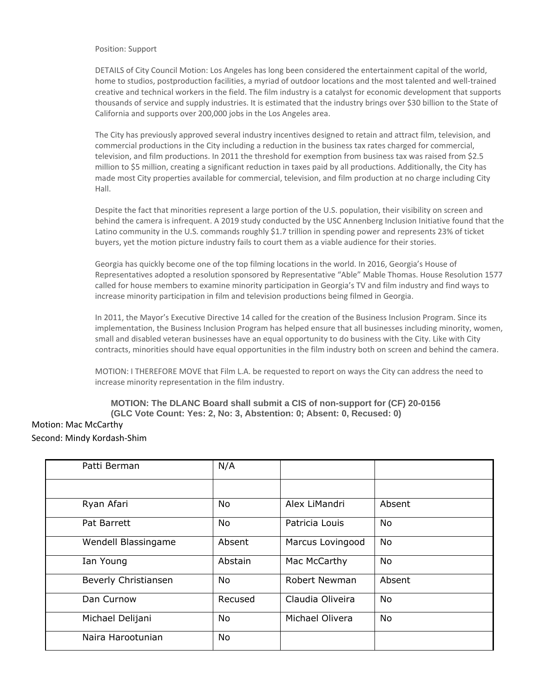#### Position: Support

DETAILS of City Council Motion: Los Angeles has long been considered the entertainment capital of the world, home to studios, postproduction facilities, a myriad of outdoor locations and the most talented and well-trained creative and technical workers in the field. The film industry is a catalyst for economic development that supports thousands of service and supply industries. It is estimated that the industry brings over \$30 billion to the State of California and supports over 200,000 jobs in the Los Angeles area.

The City has previously approved several industry incentives designed to retain and attract film, television, and commercial productions in the City including a reduction in the business tax rates charged for commercial, television, and film productions. In 2011 the threshold for exemption from business tax was raised from \$2.5 million to \$5 million, creating a significant reduction in taxes paid by all productions. Additionally, the City has made most City properties available for commercial, television, and film production at no charge including City Hall.

Despite the fact that minorities represent a large portion of the U.S. population, their visibility on screen and behind the camera is infrequent. A 2019 study conducted by the USC Annenberg Inclusion Initiative found that the Latino community in the U.S. commands roughly \$1.7 trillion in spending power and represents 23% of ticket buyers, yet the motion picture industry fails to court them as a viable audience for their stories.

Georgia has quickly become one of the top filming locations in the world. In 2016, Georgia's House of Representatives adopted a resolution sponsored by Representative "Able" Mable Thomas. House Resolution 1577 called for house members to examine minority participation in Georgia's TV and film industry and find ways to increase minority participation in film and television productions being filmed in Georgia.

In 2011, the Mayor's Executive Directive 14 called for the creation of the Business Inclusion Program. Since its implementation, the Business Inclusion Program has helped ensure that all businesses including minority, women, small and disabled veteran businesses have an equal opportunity to do business with the City. Like with City contracts, minorities should have equal opportunities in the film industry both on screen and behind the camera.

MOTION: I THEREFORE MOVE that Film L.A. be requested to report on ways the City can address the need to increase minority representation in the film industry.

#### **MOTION: The DLANC Board shall submit a CIS of non-support for (CF) 20-0156 (GLC Vote Count: Yes: 2, No: 3, Abstention: 0; Absent: 0, Recused: 0)**

#### Motion: Mac McCarthy Second: Mindy Kordash-Shim

| Patti Berman         | N/A       |                  |           |
|----------------------|-----------|------------------|-----------|
|                      |           |                  |           |
| Ryan Afari           | <b>No</b> | Alex LiMandri    | Absent    |
| Pat Barrett          | <b>No</b> | Patricia Louis   | <b>No</b> |
| Wendell Blassingame  | Absent    | Marcus Lovingood | <b>No</b> |
| Ian Young            | Abstain   | Mac McCarthy     | <b>No</b> |
| Beverly Christiansen | <b>No</b> | Robert Newman    | Absent    |
| Dan Curnow           | Recused   | Claudia Oliveira | <b>No</b> |
| Michael Delijani     | <b>No</b> | Michael Olivera  | <b>No</b> |
| Naira Harootunian    | <b>No</b> |                  |           |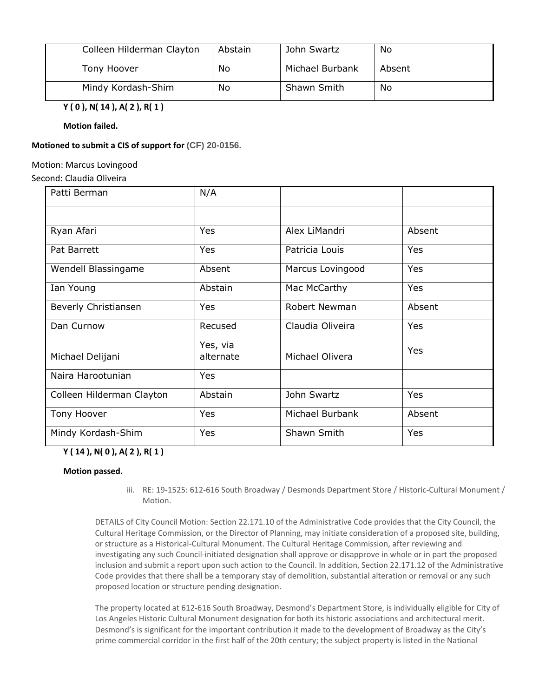| Colleen Hilderman Clayton | Abstain | John Swartz     | No     |
|---------------------------|---------|-----------------|--------|
| Tony Hoover               | No      | Michael Burbank | Absent |
| Mindy Kordash-Shim        | No      | Shawn Smith     | No     |

**Y ( 0 ), N( 14 ), A( 2 ), R( 1 )**

**Motion failed.**

#### **Motioned to submit a CIS of support for (CF) 20-0156.**

Motion: Marcus Lovingood

Second: Claudia Oliveira

| Patti Berman              | N/A                   |                  |            |
|---------------------------|-----------------------|------------------|------------|
|                           |                       |                  |            |
| Ryan Afari                | Yes                   | Alex LiMandri    | Absent     |
| Pat Barrett               | Yes                   | Patricia Louis   | Yes        |
| Wendell Blassingame       | Absent                | Marcus Lovingood | Yes        |
| Ian Young                 | Abstain               | Mac McCarthy     | Yes        |
| Beverly Christiansen      | Yes                   | Robert Newman    | Absent     |
| Dan Curnow                | Recused               | Claudia Oliveira | <b>Yes</b> |
| Michael Delijani          | Yes, via<br>alternate | Michael Olivera  | Yes        |
| Naira Harootunian         | Yes                   |                  |            |
| Colleen Hilderman Clayton | Abstain               | John Swartz      | <b>Yes</b> |
| Tony Hoover               | Yes                   | Michael Burbank  | Absent     |
| Mindy Kordash-Shim        | Yes                   | Shawn Smith      | Yes        |

# **Y ( 14 ), N( 0 ), A( 2 ), R( 1 )**

#### **Motion passed.**

iii. RE: 19-1525: 612-616 South Broadway / Desmonds Department Store / Historic-Cultural Monument / Motion.

DETAILS of City Council Motion: Section 22.171.10 of the Administrative Code provides that the City Council, the Cultural Heritage Commission, or the Director of Planning, may initiate consideration of a proposed site, building, or structure as a Historical-Cultural Monument. The Cultural Heritage Commission, after reviewing and investigating any such Council-initiated designation shall approve or disapprove in whole or in part the proposed inclusion and submit a report upon such action to the Council. In addition, Section 22.171.12 of the Administrative Code provides that there shall be a temporary stay of demolition, substantial alteration or removal or any such proposed location or structure pending designation.

The property located at 612-616 South Broadway, Desmond's Department Store, is individually eligible for City of Los Angeles Historic Cultural Monument designation for both its historic associations and architectural merit. Desmond's is significant for the important contribution it made to the development of Broadway as the City's prime commercial corridor in the first half of the 20th century; the subject property is listed in the National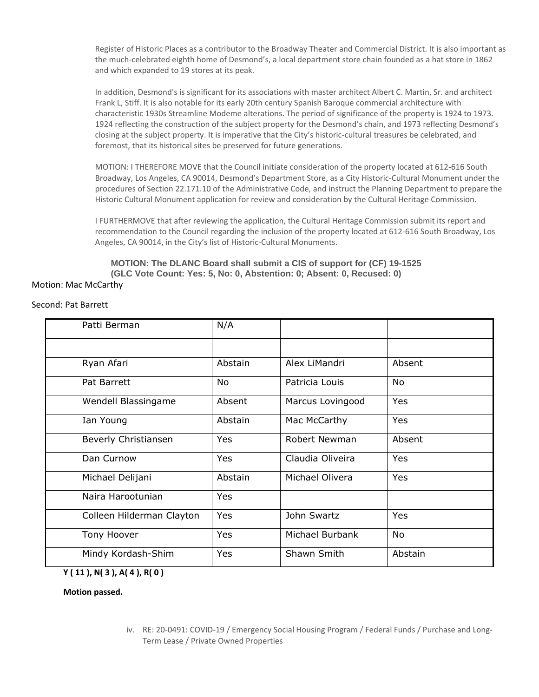Register of Historic Places as a contributor to the Broadway Theater and Commercial District. It is also important as the much-celebrated eighth home of Desmond's, a local department store chain founded as a hat store in 1862 and which expanded to 19 stores at its peak.

In addition, Desmond's is significant for its associations with master architect Albert C. Martin, Sr. and architect Frank L, Stiff. It is also notable for its early 20th century Spanish Baroque commercial architecture with characteristic 1930s Streamline Modeme alterations. The period of significance of the property is 1924 to 1973. 1924 reflecting the construction of the subject property for the Desmond's chain, and 1973 reflecting Desmond's closing at the subject property. It is imperative that the City's historic-cultural treasures be celebrated, and foremost, that its historical sites be preserved for future generations.

MOTION: I THEREFORE MOVE that the Council initiate consideration of the property located at 612-616 South Broadway, Los Angeles, CA 90014, Desmond's Department Store, as a City Historic-Cultural Monument under the procedures of Section 22.171.10 of the Administrative Code, and instruct the Planning Department to prepare the Historic Cultural Monument application for review and consideration by the Cultural Heritage Commission.

I FURTHERMOVE that after reviewing the application, the Cultural Heritage Commission submit its report and recommendation to the Council regarding the inclusion of the property located at 612-616 South Broadway, Los Angeles, CA 90014, in the City's list of Historic-Cultural Monuments.

**MOTION: The DLANC Board shall submit a CIS of support for (CF) 19-1525 (GLC Vote Count: Yes: 5, No: 0, Abstention: 0; Absent: 0, Recused: 0)**

#### Motion: Mac McCarthy

#### Second: Pat Barrett

| Patti Berman              | N/A     |                  |            |
|---------------------------|---------|------------------|------------|
|                           |         |                  |            |
| Ryan Afari                | Abstain | Alex LiMandri    | Absent     |
| Pat Barrett               | No.     | Patricia Louis   | No         |
| Wendell Blassingame       | Absent  | Marcus Lovingood | <b>Yes</b> |
| Ian Young                 | Abstain | Mac McCarthy     | Yes        |
| Beverly Christiansen      | Yes     | Robert Newman    | Absent     |
| Dan Curnow                | Yes     | Claudia Oliveira | Yes        |
| Michael Delijani          | Abstain | Michael Olivera  | Yes        |
| Naira Harootunian         | Yes     |                  |            |
| Colleen Hilderman Clayton | Yes     | John Swartz      | Yes        |
| Tony Hoover               | Yes     | Michael Burbank  | No         |
| Mindy Kordash-Shim        | Yes     | Shawn Smith      | Abstain    |
|                           |         |                  |            |

**Y ( 11 ), N( 3 ), A( 4 ), R( 0 )**

**Motion passed.**

iv. RE: 20-0491: COVID-19 / Emergency Social Housing Program / Federal Funds / Purchase and Long-Term Lease / Private Owned Properties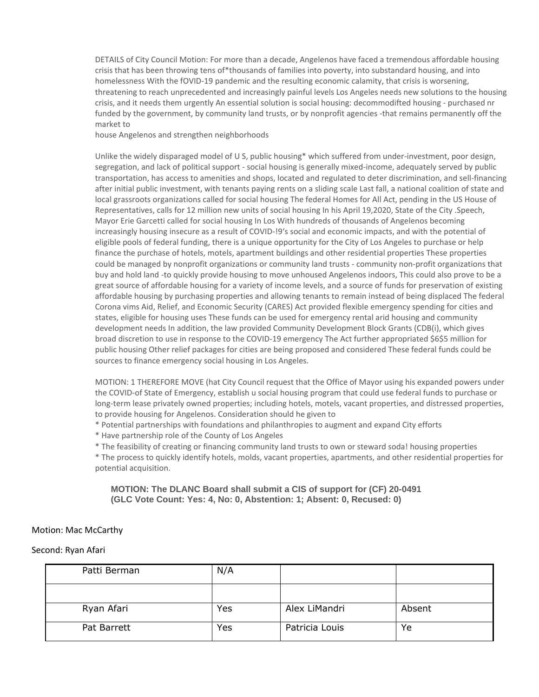DETAILS of City Council Motion: For more than a decade, Angelenos have faced a tremendous affordable housing crisis that has been throwing tens of\*thousands of families into poverty, into substandard housing, and into homelessness With the fOVID-19 pandemic and the resulting economic calamity, that crisis is worsening, threatening to reach unprecedented and increasingly painful levels Los Angeles needs new solutions to the housing crisis, and it needs them urgently An essential solution is social housing: decommodifted housing - purchased nr funded by the government, by community land trusts, or by nonprofit agencies -that remains permanently off the market to

house Angelenos and strengthen neighborhoods

Unlike the widely disparaged model of U S, public housing\* which suffered from under-investment, poor design, segregation, and lack of political support - social housing is generally mixed-income, adequately served by public transportation, has access to amenities and shops, located and regulated to deter discrimination, and sell-financing after initial public investment, with tenants paying rents on a sliding scale Last fall, a national coalition of state and local grassroots organizations called for social housing The federal Homes for All Act, pending in the US House of Representatives, calls for 12 million new units of social housing In his April 19,2020, State of the City .Speech, Mayor Erie Garcetti called for social housing In Los With hundreds of thousands of Angelenos becoming increasingly housing insecure as a result of COVID-!9's social and economic impacts, and with the potential of eligible pools of federal funding, there is a unique opportunity for the City of Los Angeles to purchase or help finance the purchase of hotels, motels, apartment buildings and other residential properties These properties could be managed by nonprofit organizations or community land trusts - community non-profit organizations that buy and hold land -to quickly provide housing to move unhoused Angelenos indoors, This could also prove to be a great source of affordable housing for a variety of income levels, and a source of funds for preservation of existing affordable housing by purchasing properties and allowing tenants to remain instead of being displaced The federal Corona vims Aid, Relief, and Economic Security (CARES) Act provided flexible emergency spending for cities and states, eligible for housing uses These funds can be used for emergency rental arid housing and community development needs In addition, the law provided Community Development Block Grants (CDB(i), which gives broad discretion to use in response to the COVID-19 emergency The Act further appropriated \$6\$5 million for public housing Other relief packages for cities are being proposed and considered These federal funds could be sources to finance emergency social housing in Los Angeles.

MOTION: 1 THEREFORE MOVE (hat City Council request that the Office of Mayor using his expanded powers under the COVID-of State of Emergency, establish u social housing program that could use federal funds to purchase or long-term lease privately owned properties; including hotels, motels, vacant properties, and distressed properties, to provide housing for Angelenos. Consideration should he given to

\* Potential partnerships with foundations and philanthropies to augment and expand City efforts

\* Have partnership role of the County of Los Angeles

\* The feasibility of creating or financing community land trusts to own or steward soda! housing properties

\* The process to quickly identify hotels, molds, vacant properties, apartments, and other residential properties for potential acquisition.

#### **MOTION: The DLANC Board shall submit a CIS of support for (CF) 20-0491 (GLC Vote Count: Yes: 4, No: 0, Abstention: 1; Absent: 0, Recused: 0)**

#### Motion: Mac McCarthy

#### Second: Ryan Afari

| Patti Berman | N/A |                |        |
|--------------|-----|----------------|--------|
|              |     |                |        |
| Ryan Afari   | Yes | Alex LiMandri  | Absent |
| Pat Barrett  | Yes | Patricia Louis | Ye     |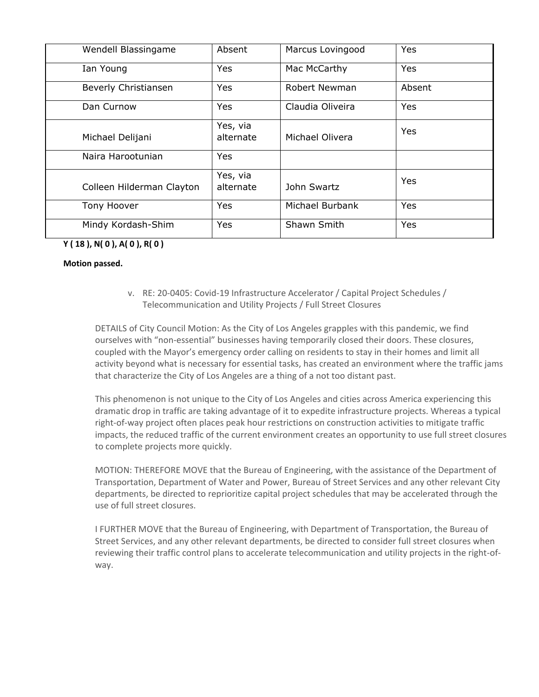| Wendell Blassingame       | Absent                | Marcus Lovingood | Yes        |
|---------------------------|-----------------------|------------------|------------|
| Ian Young                 | Yes                   | Mac McCarthy     | <b>Yes</b> |
| Beverly Christiansen      | Yes                   | Robert Newman    | Absent     |
| Dan Curnow                | Yes                   | Claudia Oliveira | Yes        |
| Michael Delijani          | Yes, via<br>alternate | Michael Olivera  | Yes        |
| Naira Harootunian         | Yes                   |                  |            |
| Colleen Hilderman Clayton | Yes, via<br>alternate | John Swartz      | Yes        |
| Tony Hoover               | Yes                   | Michael Burbank  | Yes        |
| Mindy Kordash-Shim        | Yes                   | Shawn Smith      | Yes        |

# **Y ( 18 ), N( 0 ), A( 0 ), R( 0 )**

#### **Motion passed.**

v. RE: 20-0405: Covid-19 Infrastructure Accelerator / Capital Project Schedules / Telecommunication and Utility Projects / Full Street Closures

DETAILS of City Council Motion: As the City of Los Angeles grapples with this pandemic, we find ourselves with "non-essential" businesses having temporarily closed their doors. These closures, coupled with the Mayor's emergency order calling on residents to stay in their homes and limit all activity beyond what is necessary for essential tasks, has created an environment where the traffic jams that characterize the City of Los Angeles are a thing of a not too distant past.

This phenomenon is not unique to the City of Los Angeles and cities across America experiencing this dramatic drop in traffic are taking advantage of it to expedite infrastructure projects. Whereas a typical right-of-way project often places peak hour restrictions on construction activities to mitigate traffic impacts, the reduced traffic of the current environment creates an opportunity to use full street closures to complete projects more quickly.

MOTION: THEREFORE MOVE that the Bureau of Engineering, with the assistance of the Department of Transportation, Department of Water and Power, Bureau of Street Services and any other relevant City departments, be directed to reprioritize capital project schedules that may be accelerated through the use of full street closures.

I FURTHER MOVE that the Bureau of Engineering, with Department of Transportation, the Bureau of Street Services, and any other relevant departments, be directed to consider full street closures when reviewing their traffic control plans to accelerate telecommunication and utility projects in the right-ofway.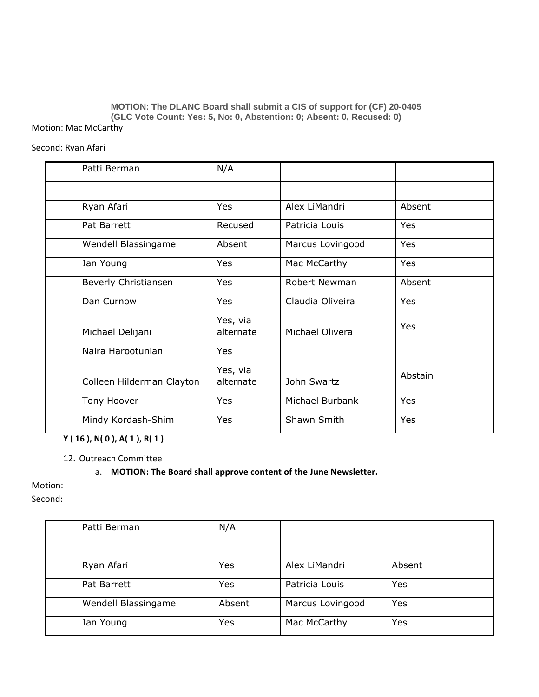#### **MOTION: The DLANC Board shall submit a CIS of support for (CF) 20-0405 (GLC Vote Count: Yes: 5, No: 0, Abstention: 0; Absent: 0, Recused: 0)** Motion: Mac McCarthy

#### Second: Ryan Afari

| Patti Berman              | N/A                   |                      |            |
|---------------------------|-----------------------|----------------------|------------|
|                           |                       |                      |            |
| Ryan Afari                | Yes                   | Alex LiMandri        | Absent     |
| Pat Barrett               | Recused               | Patricia Louis       | <b>Yes</b> |
| Wendell Blassingame       | Absent                | Marcus Lovingood     | Yes        |
| Ian Young                 | Yes                   | Mac McCarthy         | <b>Yes</b> |
| Beverly Christiansen      | Yes                   | <b>Robert Newman</b> | Absent     |
| Dan Curnow                | Yes                   | Claudia Oliveira     | Yes        |
| Michael Delijani          | Yes, via<br>alternate | Michael Olivera      | Yes        |
| Naira Harootunian         | Yes                   |                      |            |
| Colleen Hilderman Clayton | Yes, via<br>alternate | John Swartz          | Abstain    |
| Tony Hoover               | Yes                   | Michael Burbank      | <b>Yes</b> |
| Mindy Kordash-Shim        | Yes                   | Shawn Smith          | Yes        |

**Y ( 16 ), N( 0 ), A( 1 ), R( 1 )**

12. Outreach Committee

#### a. **MOTION: The Board shall approve content of the June Newsletter.**

Motion:

Second:

| Patti Berman        | N/A    |                  |        |
|---------------------|--------|------------------|--------|
|                     |        |                  |        |
| Ryan Afari          | Yes    | Alex LiMandri    | Absent |
| Pat Barrett         | Yes    | Patricia Louis   | Yes    |
| Wendell Blassingame | Absent | Marcus Lovingood | Yes    |
| Ian Young           | Yes    | Mac McCarthy     | Yes    |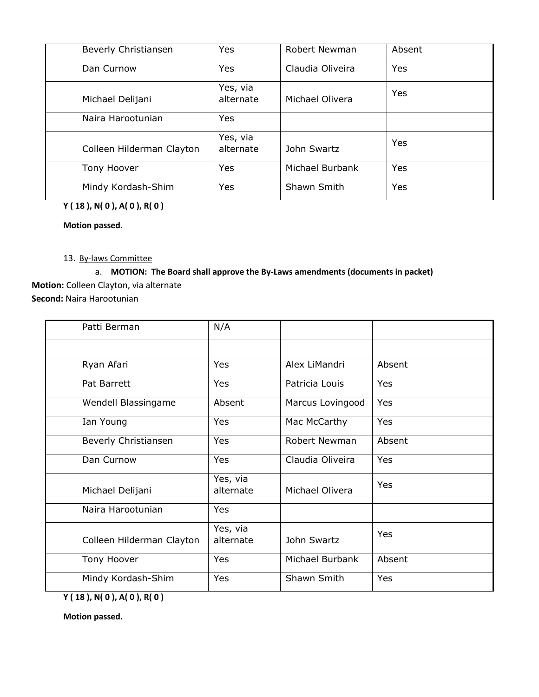| Beverly Christiansen      | Yes                   | Robert Newman    | Absent |
|---------------------------|-----------------------|------------------|--------|
| Dan Curnow                | Yes                   | Claudia Oliveira | Yes    |
| Michael Delijani          | Yes, via<br>alternate | Michael Olivera  | Yes    |
| Naira Harootunian         | Yes                   |                  |        |
| Colleen Hilderman Clayton | Yes, via<br>alternate | John Swartz      | Yes    |
| Tony Hoover               | <b>Yes</b>            | Michael Burbank  | Yes    |
| Mindy Kordash-Shim        | Yes                   | Shawn Smith      | Yes    |

**Y ( 18 ), N( 0 ), A( 0 ), R( 0 )**

**Motion passed.**

# 13. By-laws Committee

# a. **MOTION: The Board shall approve the By-Laws amendments (documents in packet) Motion:** Colleen Clayton, via alternate **Second:** Naira Harootunian

| Patti Berman              | N/A                   |                  |            |
|---------------------------|-----------------------|------------------|------------|
|                           |                       |                  |            |
| Ryan Afari                | <b>Yes</b>            | Alex LiMandri    | Absent     |
| Pat Barrett               | <b>Yes</b>            | Patricia Louis   | Yes        |
| Wendell Blassingame       | Absent                | Marcus Lovingood | Yes        |
| Ian Young                 | <b>Yes</b>            | Mac McCarthy     | <b>Yes</b> |
| Beverly Christiansen      | Yes                   | Robert Newman    | Absent     |
| Dan Curnow                | Yes                   | Claudia Oliveira | Yes        |
| Michael Delijani          | Yes, via<br>alternate | Michael Olivera  | Yes        |
| Naira Harootunian         | Yes                   |                  |            |
| Colleen Hilderman Clayton | Yes, via<br>alternate | John Swartz      | Yes        |
| Tony Hoover               | Yes                   | Michael Burbank  | Absent     |
| Mindy Kordash-Shim        | Yes                   | Shawn Smith      | Yes        |

**Y ( 18 ), N( 0 ), A( 0 ), R( 0 )**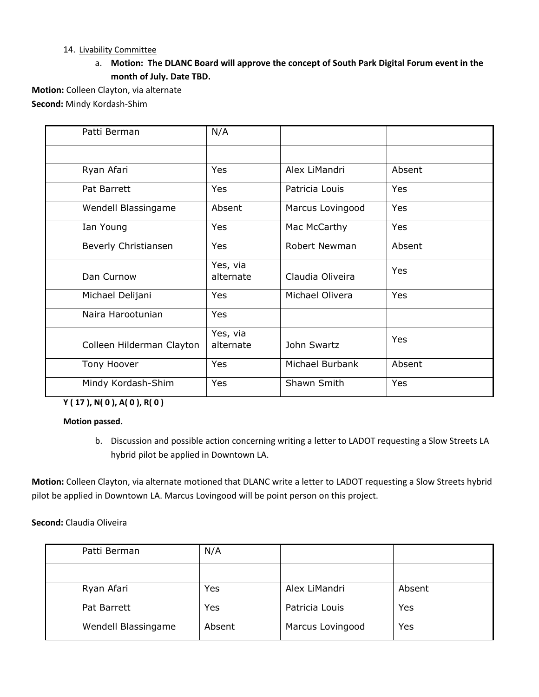# 14. Livability Committee

a. **Motion: The DLANC Board will approve the concept of South Park Digital Forum event in the month of July. Date TBD.**

**Motion:** Colleen Clayton, via alternate **Second:** Mindy Kordash-Shim

| Patti Berman              | N/A                   |                      |        |
|---------------------------|-----------------------|----------------------|--------|
|                           |                       |                      |        |
| Ryan Afari                | Yes                   | Alex LiMandri        | Absent |
| Pat Barrett               | Yes                   | Patricia Louis       | Yes    |
| Wendell Blassingame       | Absent                | Marcus Lovingood     | Yes    |
| Ian Young                 | Yes                   | Mac McCarthy         | Yes    |
| Beverly Christiansen      | Yes                   | <b>Robert Newman</b> | Absent |
| Dan Curnow                | Yes, via<br>alternate | Claudia Oliveira     | Yes    |
| Michael Delijani          | Yes                   | Michael Olivera      | Yes    |
| Naira Harootunian         | Yes                   |                      |        |
| Colleen Hilderman Clayton | Yes, via<br>alternate | John Swartz          | Yes    |
| Tony Hoover               | Yes                   | Michael Burbank      | Absent |
| Mindy Kordash-Shim        | Yes                   | Shawn Smith          | Yes    |

**Y ( 17 ), N( 0 ), A( 0 ), R( 0 )**

**Motion passed.**

b. Discussion and possible action concerning writing a letter to LADOT requesting a Slow Streets LA hybrid pilot be applied in Downtown LA.

**Motion:** Colleen Clayton, via alternate motioned that DLANC write a letter to LADOT requesting a Slow Streets hybrid pilot be applied in Downtown LA. Marcus Lovingood will be point person on this project.

# **Second:** Claudia Oliveira

| Patti Berman        | N/A    |                  |        |
|---------------------|--------|------------------|--------|
|                     |        |                  |        |
| Ryan Afari          | Yes    | Alex LiMandri    | Absent |
| Pat Barrett         | Yes    | Patricia Louis   | Yes    |
| Wendell Blassingame | Absent | Marcus Lovingood | Yes    |